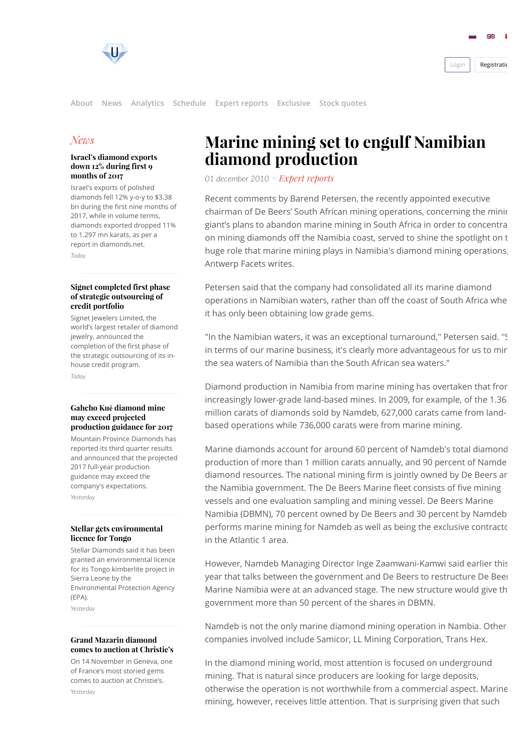



## **[News](http://www.rough-polished.com/en/news/)**

#### [Israel's diamond exports](http://www.rough-polished.com/en/news/108651.html) down 12% during first 9 months of 2017

Israel's exports of polished diamonds fell 12% y-o-y to \$3.38 bn during the first nine months of 2017, while in volume terms, diamonds exported dropped 11% to 1.297 mn karats, as per a report in diamonds.net.

Today

#### [Signet completed first phase](http://www.rough-polished.com/en/news/108649.html) of strategic outsourcing of credit portfolio

Signet Jewelers Limited, the world's largest retailer of diamond jewelry, announced the completion of the first phase of the strategic outsourcing of its inhouse credit program. Today

### Gahcho Kué diamond mine may exceed projected [production guidance for 2017](http://www.rough-polished.com/en/news/108646.html)

Mountain Province Diamonds has reported its third quarter results and announced that the projected 2017 full-year production guidance may exceed the company's expectations. Yesterday

#### [Stellar gets environmental](http://www.rough-polished.com/en/news/108644.html) licence for Tongo

Stellar Diamonds said it has been granted an environmental licence for its Tongo kimberlite project in Sierra Leone by the Environmental Protection Agency (EPA). Yesterday

#### Grand Mazarin diamond [comes to auction at Christie's](http://www.rough-polished.com/en/news/108636.html)

On 14 November in Geneva, one of France's most storied gems comes to auction at Christie's. Yesterday

# Marine mining set to engulf Namibian diamond production

01 december 2010 [Expert reports](http://www.rough-polished.com/en/expertise/)

Recent comments by Barend Petersen, the recently appointed executive chairman of De Beers' South African mining operations, concerning the minir giant's plans to abandon marine mining in South Africa in order to concentra on mining diamonds off the Namibia coast, served to shine the spotlight on t huge role that marine mining plays in Namibia's diamond mining operations, Antwerp Facets writes.

Petersen said that the company had consolidated all its marine diamond operations in Namibian waters, rather than off the coast of South Africa whe it has only been obtaining low grade gems.

"In the Namibian waters, it was an exceptional turnaround," Petersen said. "S in terms of our marine business, it's clearly more advantageous for us to min the sea waters of Namibia than the South African sea waters."

Diamond production in Namibia from marine mining has overtaken that from increasingly lower-grade land-based mines. In 2009, for example, of the 1.36. million carats of diamonds sold by Namdeb, 627,000 carats came from landbased operations while 736,000 carats were from marine mining.

Marine diamonds account for around 60 percent of Namdeb's total diamond production of more than 1 million carats annually, and 90 percent of Namde diamond resources. The national mining firm is jointly owned by De Beers ar the Namibia government. The De Beers Marine fleet consists of five mining vessels and one evaluation sampling and mining vessel. De Beers Marine Namibia (DBMN), 70 percent owned by De Beers and 30 percent by Namdeb performs marine mining for Namdeb as well as being the exclusive contractc in the Atlantic 1 area.

However, Namdeb Managing Director Inge Zaamwani-Kamwi said earlier this year that talks between the government and De Beers to restructure De Beer Marine Namibia were at an advanced stage. The new structure would give th government more than 50 percent of the shares in DBMN.

Namdeb is not the only marine diamond mining operation in Nambia. Other companies involved include Samicor, LL Mining Corporation, Trans Hex.

In the diamond mining world, most attention is focused on underground mining. That is natural since producers are looking for large deposits, otherwise the operation is not worthwhile from a commercial aspect. Marine mining, however, receives little attention. That is surprising given that such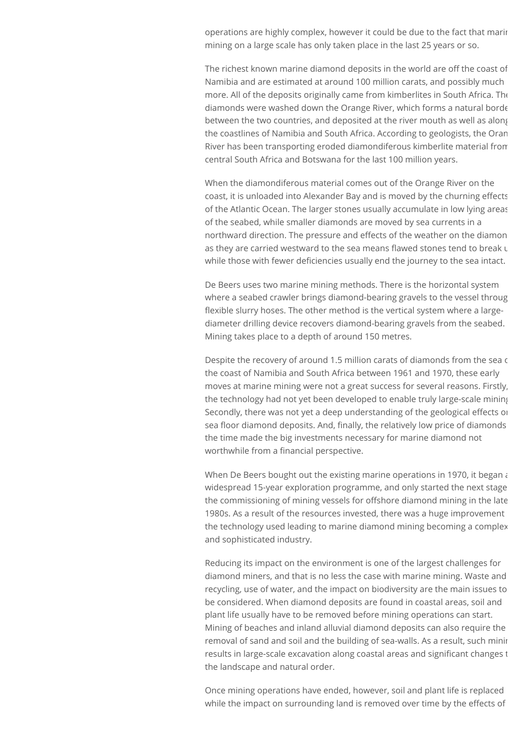operations are highly complex, however it could be due to the fact that marin mining on a large scale has only taken place in the last 25 years or so.

The richest known marine diamond deposits in the world are off the coast of Namibia and are estimated at around 100 million carats, and possibly much more. All of the deposits originally came from kimberlites in South Africa. The diamonds were washed down the Orange River, which forms a natural borde between the two countries, and deposited at the river mouth as well as along the coastlines of Namibia and South Africa. According to geologists, the Oran River has been transporting eroded diamondiferous kimberlite material from central South Africa and Botswana for the last 100 million years.

When the diamondiferous material comes out of the Orange River on the coast, it is unloaded into Alexander Bay and is moved by the churning effects of the Atlantic Ocean. The larger stones usually accumulate in low lying areas of the seabed, while smaller diamonds are moved by sea currents in a northward direction. The pressure and effects of the weather on the diamon as they are carried westward to the sea means flawed stones tend to break  $\iota$ while those with fewer deficiencies usually end the journey to the sea intact.

De Beers uses two marine mining methods. There is the horizontal system where a seabed crawler brings diamond-bearing gravels to the vessel throug flexible slurry hoses. The other method is the vertical system where a largediameter drilling device recovers diamond-bearing gravels from the seabed. Mining takes place to a depth of around 150 metres.

Despite the recovery of around 1.5 million carats of diamonds from the sea c the coast of Namibia and South Africa between 1961 and 1970, these early moves at marine mining were not a great success for several reasons. Firstly, the technology had not yet been developed to enable truly large-scale mining Secondly, there was not yet a deep understanding of the geological effects or sea floor diamond deposits. And, finally, the relatively low price of diamonds the time made the big investments necessary for marine diamond not worthwhile from a financial perspective.

When De Beers bought out the existing marine operations in 1970, it began  $\epsilon$ widespread 15-year exploration programme, and only started the next stage the commissioning of mining vessels for offshore diamond mining in the late 1980s. As a result of the resources invested, there was a huge improvement the technology used leading to marine diamond mining becoming a complex and sophisticated industry.

Reducing its impact on the environment is one of the largest challenges for diamond miners, and that is no less the case with marine mining. Waste and recycling, use of water, and the impact on biodiversity are the main issues to be considered. When diamond deposits are found in coastal areas, soil and plant life usually have to be removed before mining operations can start. Mining of beaches and inland alluvial diamond deposits can also require the removal of sand and soil and the building of sea-walls. As a result, such minir results in large-scale excavation along coastal areas and significant changes t the landscape and natural order.

Once mining operations have ended, however, soil and plant life is replaced while the impact on surrounding land is removed over time by the effects of